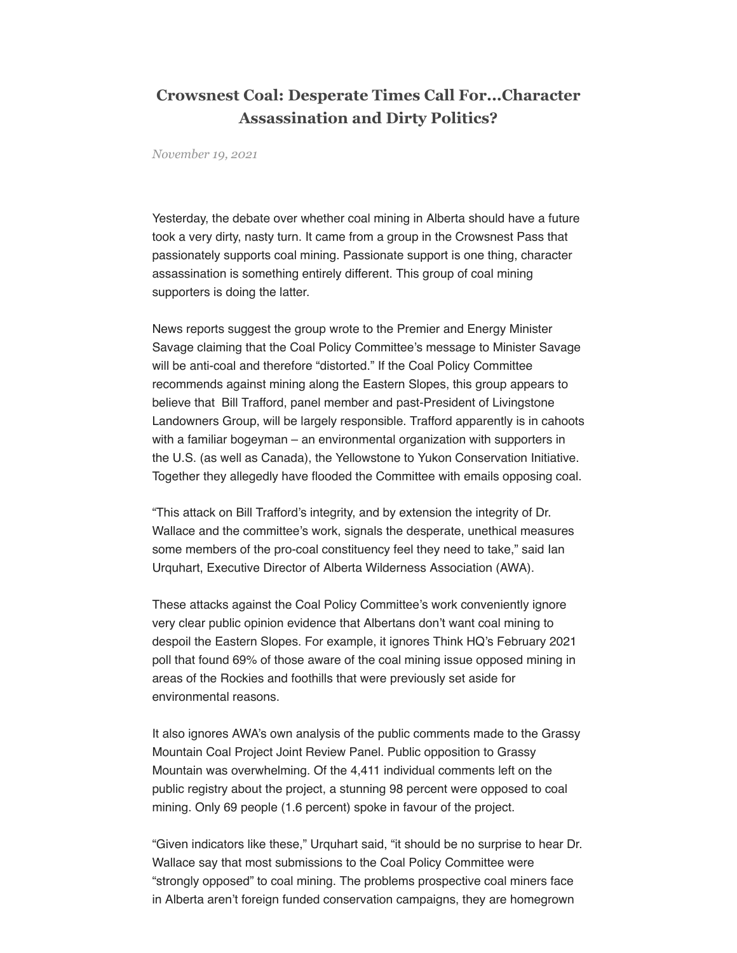## **Crowsnest Coal: Desperate Times Call For...Character Assassination and Dirty Politics?**

*November 19, 2021*

Yesterday, the debate over whether coal mining in Alberta should have a future took a very dirty, nasty turn. It came from a group in the Crowsnest Pass that passionately supports coal mining. Passionate support is one thing, character assassination is something entirely different. This group of coal mining supporters is doing the latter.

News reports suggest the group wrote to the Premier and Energy Minister Savage claiming that the Coal Policy Committee's message to Minister Savage will be anti-coal and therefore "distorted." If the Coal Policy Committee recommends against mining along the Eastern Slopes, this group appears to believe that Bill Trafford, panel member and past-President of Livingstone Landowners Group, will be largely responsible. Trafford apparently is in cahoots with a familiar bogeyman – an environmental organization with supporters in the U.S. (as well as Canada), the Yellowstone to Yukon Conservation Initiative. Together they allegedly have flooded the Committee with emails opposing coal.

"This attack on Bill Trafford's integrity, and by extension the integrity of Dr. Wallace and the committee's work, signals the desperate, unethical measures some members of the pro-coal constituency feel they need to take," said Ian Urquhart, Executive Director of Alberta Wilderness Association (AWA).

These attacks against the Coal Policy Committee's work conveniently ignore very clear public opinion evidence that Albertans don't want coal mining to despoil the Eastern Slopes. For example, it ignores Think HQ's February 2021 poll that found 69% of those aware of the coal mining issue opposed mining in areas of the Rockies and foothills that were previously set aside for environmental reasons.

It also ignores AWA's own analysis of the public comments made to the Grassy Mountain Coal Project Joint Review Panel. Public opposition to Grassy Mountain was overwhelming. Of the 4,411 individual comments left on the public registry about the project, a stunning 98 percent were opposed to coal mining. Only 69 people (1.6 percent) spoke in favour of the project.

"Given indicators like these," Urquhart said, "it should be no surprise to hear Dr. Wallace say that most submissions to the Coal Policy Committee were "strongly opposed" to coal mining. The problems prospective coal miners face in Alberta aren't foreign funded conservation campaigns, they are homegrown